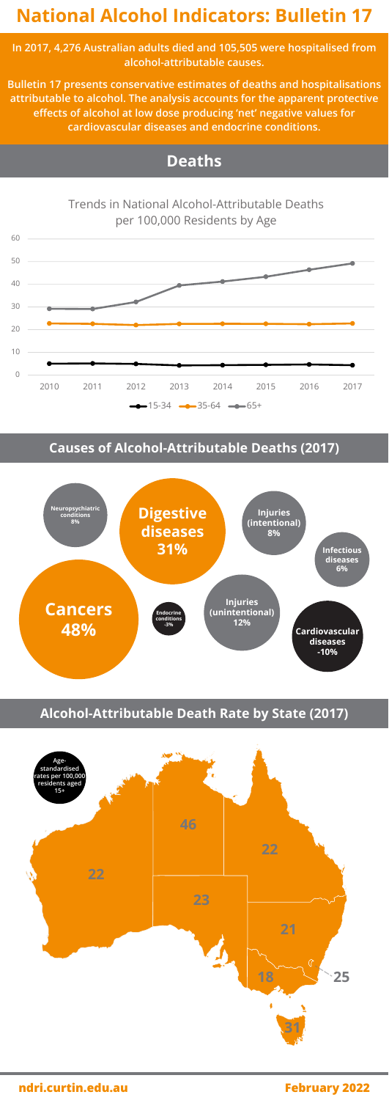# **National Alcohol Indicators: Bulletin 17**

**ndri.curtin.edu.au February 2022**

**In 2017, 4,276 Australian adults died and 105,505 were hospitalised from alcohol-attributable causes.**

0 10 20 30 40 50 60 2010 2011 2012 2013 2014 2015 2016 2017 Trends in National Alcohol-Attributable Deaths per 100,000 Residents by Age  $-15-34$   $-35-64$   $-65+$ 

**Bulletin 17 presents conservative estimates of deaths and hospitalisations attributable to alcohol. The analysis accounts for the apparent protective effects of alcohol at low dose producing 'net' negative values for cardiovascular diseases and endocrine conditions.**



### **Causes of Alcohol-Attributable Deaths (2017)**





## **Alcohol-Attributable Death Rate by State (2017)**

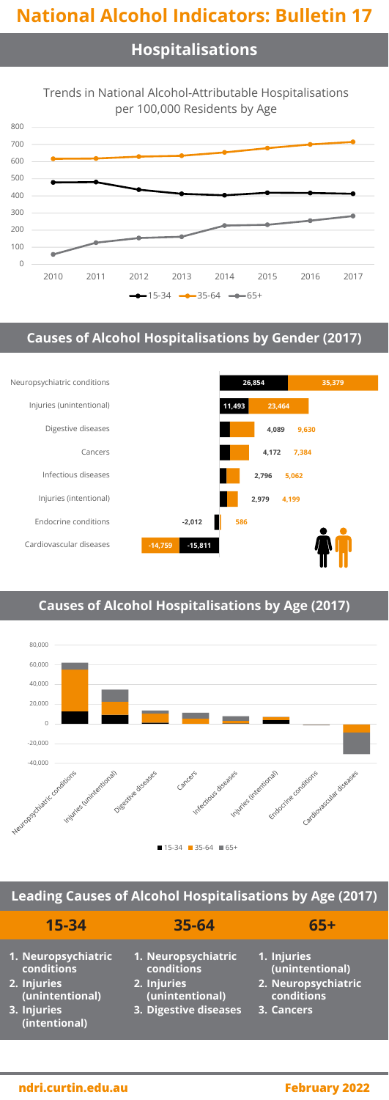# **National Alcohol Indicators: Bulletin 17**

## **Hospitalisations**



## **Causes of Alcohol Hospitalisations by Gender (2017)**



## **Causes of Alcohol Hospitalisations by Age (2017)**



| $15 - 34$                                                                                           | 35-64                                                                                        | $65+$                                                                             |
|-----------------------------------------------------------------------------------------------------|----------------------------------------------------------------------------------------------|-----------------------------------------------------------------------------------|
| 1. Neuropsychiatric<br>conditions<br>2. Injuries<br>(unintentional)<br>3. Injuries<br>(intentional) | 1. Neuropsychiatric<br>conditions<br>2. Injuries<br>(unintentional)<br>3. Digestive diseases | 1. Injuries<br>(unintentional)<br>2. Neuropsychiatric<br>conditions<br>3. Cancers |

### **ndri.curtin.edu.au February 2022**

### **Leading Causes of Alcohol Hospitalisations by Age (2017)**